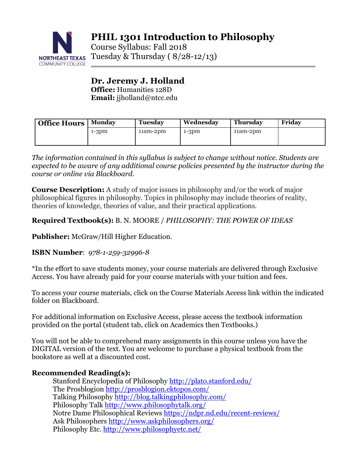

Course Syllabus: Fall 2018 NORTHEAST TEXAS TUESDAY & Thursday  $(8/28-12/13)$ 

## **Dr. Jeremy J. Holland Office:** Humanities 128D **Email:** jjholland@ntcc.edu

| <b>Office Hours</b> | <b>Monday</b> | <b>Tuesday</b> | Wednesday | <b>Thursday</b> | Friday |
|---------------------|---------------|----------------|-----------|-----------------|--------|
|                     | $1-3pm$       | $11am-2pm$     | $1-3pm$   | $11am-2dm$      |        |
|                     |               |                |           |                 |        |

*The information contained in this syllabus is subject to change without notice. Students are expected to be aware of any additional course policies presented by the instructor during the course or online via Blackboard.*

**Course Description:** A study of major issues in philosophy and/or the work of major philosophical figures in philosophy. Topics in philosophy may include theories of reality, theories of knowledge, theories of value, and their practical applications.

# **Required Textbook(s):** B. N. MOORE / *PHILOSOPHY: THE POWER OF IDEAS*

**Publisher:** McGraw/Hill Higher Education.

## **ISBN Number**: *978-1-259-32996-8*

\*In the effort to save students money, your course materials are delivered through Exclusive Access. You have already paid for your course materials with your tuition and fees.

To access your course materials, click on the Course Materials Access link within the indicated folder on Blackboard.

For additional information on Exclusive Access, please access the textbook information provided on the portal (student tab, click on Academics then Textbooks.)

You will not be able to comprehend many assignments in this course unless you have the DIGITAL version of the text. You are welcome to purchase a physical textbook from the bookstore as well at a discounted cost.

# **Recommended Reading(s):**

Stanford Encyclopedia of Philosophy http://plato.stanford.edu/ The Prosblogion http://prosblogion.ektopos.com/ Talking Philosophy http://blog.talkingphilosophy.com/ Philosophy Talk http://www.philosophytalk.org/ Notre Dame Philosophical Reviews https://ndpr.nd.edu/recent-reviews/ Ask Philosophers http://www.askphilosophers.org/ Philosophy Etc. http://www.philosophyetc.net/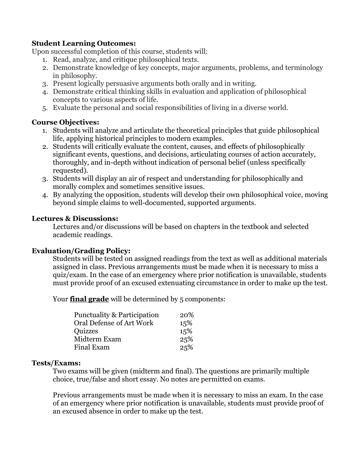## **Student Learning Outcomes:**

Upon successful completion of this course, students will:

- 1. Read, analyze, and critique philosophical texts.
- 2. Demonstrate knowledge of key concepts, major arguments, problems, and terminology in philosophy.
- 3. Present logically persuasive arguments both orally and in writing.
- 4. Demonstrate critical thinking skills in evaluation and application of philosophical concepts to various aspects of life.
- 5. Evaluate the personal and social responsibilities of living in a diverse world.

## **Course Objectives:**

- 1. Students will analyze and articulate the theoretical principles that guide philosophical life, applying historical principles to modern examples.
- 2. Students will critically evaluate the content, causes, and effects of philosophically significant events, questions, and decisions, articulating courses of action accurately, thoroughly, and in-depth without indication of personal belief (unless specifically requested).
- 3. Students will display an air of respect and understanding for philosophically and morally complex and sometimes sensitive issues.
- 4. By analyzing the opposition, students will develop their own philosophical voice, moving beyond simple claims to well-documented, supported arguments.

## **Lectures & Discussions:**

Lectures and/or discussions will be based on chapters in the textbook and selected academic readings.

### **Evaluation/Grading Policy:**

Students will be tested on assigned readings from the text as well as additional materials assigned in class. Previous arrangements must be made when it is necessary to miss a quiz/exam. In the case of an emergency where prior notification is unavailable, students must provide proof of an excused extenuating circumstance in order to make up the test.

Your **final grade** will be determined by 5 components:

| Punctuality & Participation | 20% |
|-----------------------------|-----|
| Oral Defense of Art Work    | 15% |
| Quizzes                     | 15% |
| Midterm Exam                | 25% |
| Final Exam                  | 25% |

### **Tests/Exams:**

Two exams will be given (midterm and final). The questions are primarily multiple choice, true/false and short essay. No notes are permitted on exams.

Previous arrangements must be made when it is necessary to miss an exam. In the case of an emergency where prior notification is unavailable, students must provide proof of an excused absence in order to make up the test.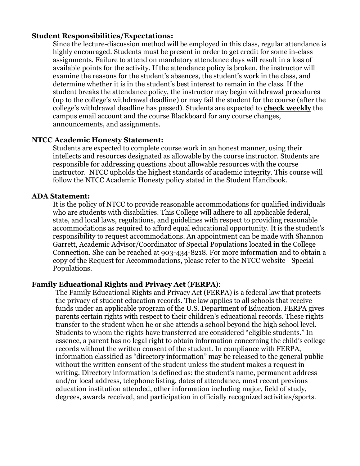#### **Student Responsibilities/Expectations:**

Since the lecture-discussion method will be employed in this class, regular attendance is highly encouraged. Students must be present in order to get credit for some in-class assignments. Failure to attend on mandatory attendance days will result in a loss of available points for the activity. If the attendance policy is broken, the instructor will examine the reasons for the student's absences, the student's work in the class, and determine whether it is in the student's best interest to remain in the class. If the student breaks the attendance policy, the instructor may begin withdrawal procedures (up to the college's withdrawal deadline) or may fail the student for the course (after the college's withdrawal deadline has passed). Students are expected to **check weekly** the campus email account and the course Blackboard for any course changes, announcements, and assignments.

#### **NTCC Academic Honesty Statement:**

Students are expected to complete course work in an honest manner, using their intellects and resources designated as allowable by the course instructor. Students are responsible for addressing questions about allowable resources with the course instructor. NTCC upholds the highest standards of academic integrity. This course will follow the NTCC Academic Honesty policy stated in the Student Handbook.

#### **ADA Statement:**

It is the policy of NTCC to provide reasonable accommodations for qualified individuals who are students with disabilities. This College will adhere to all applicable federal, state, and local laws, regulations, and guidelines with respect to providing reasonable accommodations as required to afford equal educational opportunity. It is the student's responsibility to request accommodations. An appointment can be made with Shannon Garrett, Academic Advisor/Coordinator of Special Populations located in the College Connection. She can be reached at 903-434-8218. For more information and to obtain a copy of the Request for Accommodations, please refer to the NTCC website - Special Populations.

#### **Family Educational Rights and Privacy Act** (**FERPA**):

The Family Educational Rights and Privacy Act (FERPA) is a federal law that protects the privacy of student education records. The law applies to all schools that receive funds under an applicable program of the U.S. Department of Education. FERPA gives parents certain rights with respect to their children's educational records. These rights transfer to the student when he or she attends a school beyond the high school level. Students to whom the rights have transferred are considered "eligible students." In essence, a parent has no legal right to obtain information concerning the child's college records without the written consent of the student. In compliance with FERPA, information classified as "directory information" may be released to the general public without the written consent of the student unless the student makes a request in writing. Directory information is defined as: the student's name, permanent address and/or local address, telephone listing, dates of attendance, most recent previous education institution attended, other information including major, field of study, degrees, awards received, and participation in officially recognized activities/sports.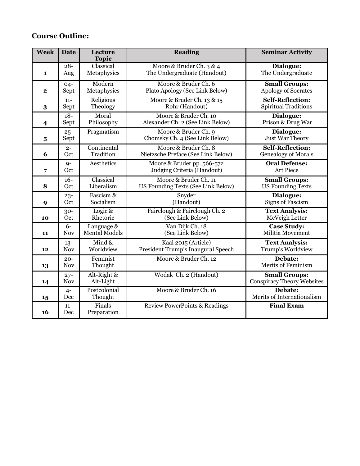# **Course Outline:**

| <b>Week</b>             | <b>Date</b>          | Lecture<br><b>Topic</b>  | <b>Reading</b>                                           | <b>Seminar Activity</b>                                   |
|-------------------------|----------------------|--------------------------|----------------------------------------------------------|-----------------------------------------------------------|
| $\mathbf{1}$            | $28 -$               | Classical                | Moore & Bruder Ch. 3 & 4                                 | Dialogue:                                                 |
|                         | Aug                  | Metaphysics              | The Undergraduate (Handout)                              | The Undergraduate                                         |
| $\mathbf{2}$            | $04 -$               | Modern                   | Moore & Bruder Ch. 6                                     | <b>Small Groups:</b>                                      |
|                         | Sept                 | Metaphysics              | Plato Apology (See Link Below)                           | Apology of Socrates                                       |
| 3                       | $11 -$               | Religious                | Moore & Bruder Ch. 13 & 15                               | Self-Reflection:                                          |
|                         | Sept                 | Theology                 | Rohr (Handout)                                           | <b>Spiritual Traditions</b>                               |
| $\overline{\mathbf{4}}$ | $18 -$               | Moral                    | Moore & Bruder Ch. 10                                    | Dialogue:                                                 |
|                         | Sept                 | Philosophy               | Alexander Ch. 2 (See Link Below)                         | Prison & Drug War                                         |
| $\overline{\mathbf{5}}$ | $25 -$<br>Sept       | Pragmatism               | Moore & Bruder Ch. 9<br>Chomsky Ch. 4 (See Link Below)   | Dialogue:<br>Just War Theory                              |
| 6                       | $2 -$                | Continental              | Moore & Bruder Ch. 8                                     | <b>Self-Reflection:</b>                                   |
|                         | Oct                  | Tradition                | Nietzsche Preface (See Link Below)                       | <b>Genealogy of Morals</b>                                |
| 7                       | $9-$<br>Oct          | Aesthetics               | Moore & Bruder pp. 566-572<br>Judging Criteria (Handout) | <b>Oral Defense:</b><br><b>Art Piece</b>                  |
| 8                       | $16 -$               | Classical                | Moore & Bruder Ch. 11                                    | <b>Small Groups:</b>                                      |
|                         | Oct                  | Liberalism               | US Founding Texts (See Link Below)                       | <b>US Founding Texts</b>                                  |
| 9                       | $23 -$               | Fascism &                | Snyder                                                   | Dialogue:                                                 |
|                         | Oct                  | Socialism                | (Handout)                                                | <b>Signs of Fascism</b>                                   |
| 10                      | $30 -$               | Logic &                  | Fairclough & Fairclough Ch. 2                            | <b>Text Analysis:</b>                                     |
|                         | Oct                  | Rhetoric                 | (See Link Below)                                         | McVeigh Letter                                            |
| 11                      | $6-$                 | Language &               | Van Dijk Ch. 18                                          | <b>Case Study:</b>                                        |
|                         | <b>Nov</b>           | <b>Mental Models</b>     | (See Link Below)                                         | Militia Movement                                          |
| 12                      | $13 -$               | Mind $\&$                | Kaal 2015 (Article)                                      | <b>Text Analysis:</b>                                     |
|                         | <b>Nov</b>           | Worldview                | President Trump's Inaugural Speech                       | Trump's Worldview                                         |
| 13                      | $20 -$<br><b>Nov</b> | Feminist<br>Thought      | Moore & Bruder Ch. 12                                    | Debate:<br><b>Merits of Feminism</b>                      |
| 14                      | $27 -$<br><b>Nov</b> | Alt-Right &<br>Alt-Light | Wodak Ch. 2 (Handout)                                    | <b>Small Groups:</b><br><b>Conspiracy Theory Websites</b> |
| 15                      | $4-$<br>Dec          | Postcolonial<br>Thought  | Moore & Bruder Ch. 16                                    | Debate:<br>Merits of Internationalism                     |
| 16                      | $11 -$<br>Dec        | Finals<br>Preparation    | <b>Review PowerPoints &amp; Readings</b>                 | <b>Final Exam</b>                                         |